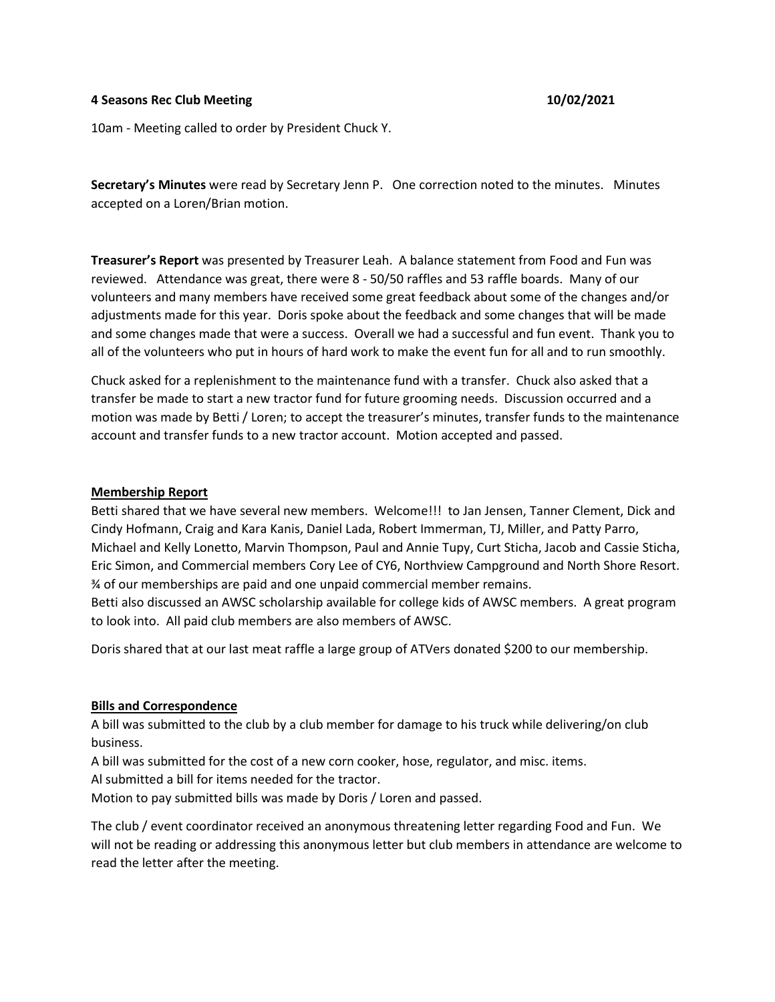### **4 Seasons Rec Club Meeting 10/02/2021**

10am - Meeting called to order by President Chuck Y.

**Secretary's Minutes** were read by Secretary Jenn P. One correction noted to the minutes. Minutes accepted on a Loren/Brian motion.

**Treasurer's Report** was presented by Treasurer Leah. A balance statement from Food and Fun was reviewed. Attendance was great, there were 8 - 50/50 raffles and 53 raffle boards. Many of our volunteers and many members have received some great feedback about some of the changes and/or adjustments made for this year. Doris spoke about the feedback and some changes that will be made and some changes made that were a success. Overall we had a successful and fun event. Thank you to all of the volunteers who put in hours of hard work to make the event fun for all and to run smoothly.

Chuck asked for a replenishment to the maintenance fund with a transfer. Chuck also asked that a transfer be made to start a new tractor fund for future grooming needs. Discussion occurred and a motion was made by Betti / Loren; to accept the treasurer's minutes, transfer funds to the maintenance account and transfer funds to a new tractor account. Motion accepted and passed.

# **Membership Report**

Betti shared that we have several new members. Welcome!!! to Jan Jensen, Tanner Clement, Dick and Cindy Hofmann, Craig and Kara Kanis, Daniel Lada, Robert Immerman, TJ, Miller, and Patty Parro, Michael and Kelly Lonetto, Marvin Thompson, Paul and Annie Tupy, Curt Sticha, Jacob and Cassie Sticha, Eric Simon, and Commercial members Cory Lee of CY6, Northview Campground and North Shore Resort. ¾ of our memberships are paid and one unpaid commercial member remains.

Betti also discussed an AWSC scholarship available for college kids of AWSC members. A great program to look into. All paid club members are also members of AWSC.

Doris shared that at our last meat raffle a large group of ATVers donated \$200 to our membership.

# **Bills and Correspondence**

A bill was submitted to the club by a club member for damage to his truck while delivering/on club business.

A bill was submitted for the cost of a new corn cooker, hose, regulator, and misc. items.

Al submitted a bill for items needed for the tractor.

Motion to pay submitted bills was made by Doris / Loren and passed.

The club / event coordinator received an anonymous threatening letter regarding Food and Fun. We will not be reading or addressing this anonymous letter but club members in attendance are welcome to read the letter after the meeting.